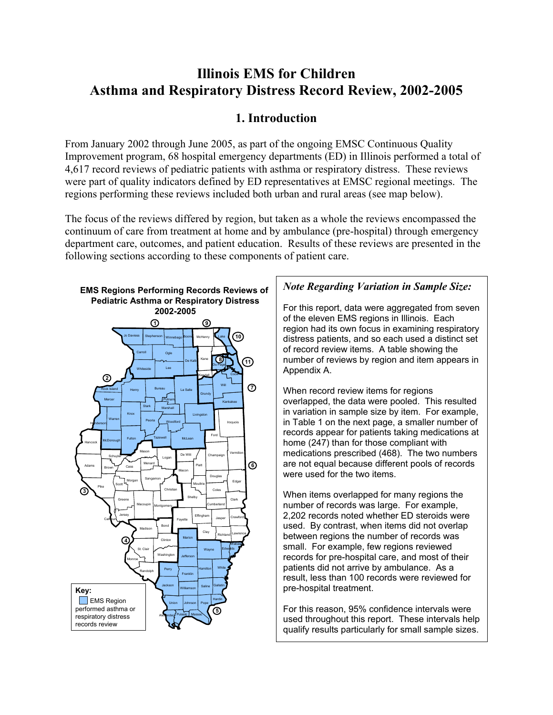# **Illinois EMS for Children Asthma and Respiratory Distress Record Review, 2002-2005**

# **1. Introduction**

From January 2002 through June 2005, as part of the ongoing EMSC Continuous Quality Improvement program, 68 hospital emergency departments (ED) in Illinois performed a total of 4,617 record reviews of pediatric patients with asthma or respiratory distress. These reviews were part of quality indicators defined by ED representatives at EMSC regional meetings. The regions performing these reviews included both urban and rural areas (see map below).

The focus of the reviews differed by region, but taken as a whole the reviews encompassed the continuum of care from treatment at home and by ambulance (pre-hospital) through emergency department care, outcomes, and patient education. Results of these reviews are presented in the following sections according to these components of patient care.



## *Note Regarding Variation in Sample Size:*

For this report, data were aggregated from seven of the eleven EMS regions in Illinois. Each region had its own focus in examining respiratory distress patients, and so each used a distinct set of record review items. A table showing the number of reviews by region and item appears in Appendix A.

When record review items for regions overlapped, the data were pooled. This resulted in variation in sample size by item. For example, in Table 1 on the next page, a smaller number of records appear for patients taking medications at home (247) than for those compliant with medications prescribed (468). The two numbers are not equal because different pools of records were used for the two items.

When items overlapped for many regions the number of records was large. For example, 2,202 records noted whether ED steroids were used. By contrast, when items did not overlap between regions the number of records was small. For example, few regions reviewed records for pre-hospital care, and most of their patients did not arrive by ambulance. As a result, less than 100 records were reviewed for pre-hospital treatment.

For this reason, 95% confidence intervals were used throughout this report. These intervals help qualify results particularly for small sample sizes.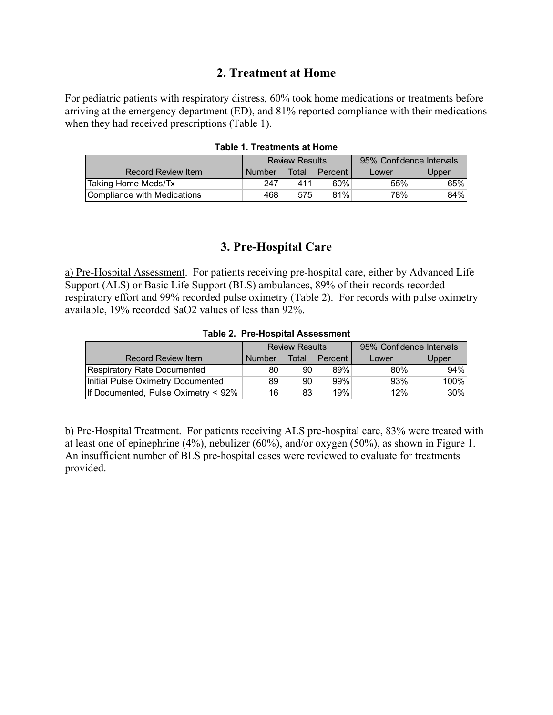## **2. Treatment at Home**

For pediatric patients with respiratory distress, 60% took home medications or treatments before arriving at the emergency department (ED), and 81% reported compliance with their medications when they had received prescriptions (Table 1).

|                             | <b>Review Results</b> |       |         | 95% Confidence Intervals |       |  |
|-----------------------------|-----------------------|-------|---------|--------------------------|-------|--|
| Record Review Item          | Number                | Total | Percent | Lower                    | Upper |  |
| Taking Home Meds/Tx         | 247                   | 411   | 60%     | 55%                      | 65%   |  |
| Compliance with Medications | 468                   | 575   | 81%     | 78%                      | 84%   |  |

### **3. Pre-Hospital Care**

a) Pre-Hospital Assessment. For patients receiving pre-hospital care, either by Advanced Life Support (ALS) or Basic Life Support (BLS) ambulances, 89% of their records recorded respiratory effort and 99% recorded pulse oximetry (Table 2). For records with pulse oximetry available, 19% recorded SaO2 values of less than 92%.

|  |  | <b>Table 2. Pre-Hospital Assessment</b> |
|--|--|-----------------------------------------|
|--|--|-----------------------------------------|

|                                     | <b>Review Results</b> |       |         | 95% Confidence Intervals |        |  |
|-------------------------------------|-----------------------|-------|---------|--------------------------|--------|--|
| Record Review Item                  | <b>Number</b>         | Total | Percent | Lower                    | Upper  |  |
| Respiratory Rate Documented         | 80                    | 90    | 89%     | 80%                      | $94\%$ |  |
| Initial Pulse Oximetry Documented   | 89                    | 90    | 99%     | 93%                      | 100%   |  |
| If Documented, Pulse Oximetry < 92% | 16                    | 83    | 19%     | 12%                      | $30\%$ |  |

b) Pre-Hospital Treatment. For patients receiving ALS pre-hospital care, 83% were treated with at least one of epinephrine (4%), nebulizer (60%), and/or oxygen (50%), as shown in Figure 1. An insufficient number of BLS pre-hospital cases were reviewed to evaluate for treatments provided.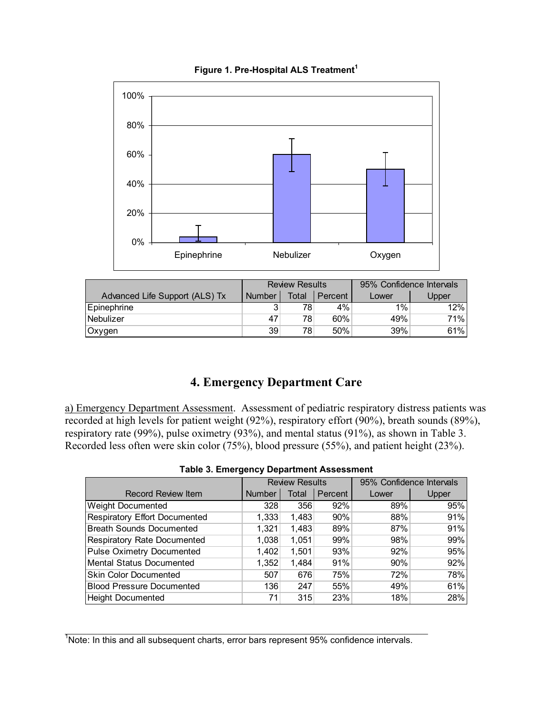

**Figure 1. Pre-Hospital ALS Treatment<sup>1</sup>**

|                                | <b>Review Results</b> |       |         | 95% Confidence Intervals |       |  |
|--------------------------------|-----------------------|-------|---------|--------------------------|-------|--|
| Advanced Life Support (ALS) Tx | <b>Number</b>         | Total | Percent | Lower                    | Upper |  |
| Epinephrine                    | ົ                     | 78⊧   | 4%      | 1%                       | 12%   |  |
| Nebulizer                      | 47                    | 78    | 60%     | 49%                      | 71%l  |  |
| Oxygen                         | 39                    | 78    | 50%     | 39%                      | 61%   |  |

# **4. Emergency Department Care**

a) Emergency Department Assessment. Assessment of pediatric respiratory distress patients was recorded at high levels for patient weight (92%), respiratory effort (90%), breath sounds (89%), respiratory rate (99%), pulse oximetry (93%), and mental status (91%), as shown in Table 3. Recorded less often were skin color (75%), blood pressure (55%), and patient height (23%).

|                                  | <b>Review Results</b> |       |         | 95% Confidence Intervals |       |  |  |  |
|----------------------------------|-----------------------|-------|---------|--------------------------|-------|--|--|--|
| <b>Record Review Item</b>        | <b>Number</b>         | Total | Percent | Lower                    | Upper |  |  |  |
| Weight Documented                | 328                   | 356   | 92%     | 89%                      | 95%   |  |  |  |
| Respiratory Effort Documented    | 1,333                 | 1,483 | 90%     | 88%                      | 91%   |  |  |  |
| Breath Sounds Documented         | 1,321                 | 1,483 | 89%     | 87%                      | 91%   |  |  |  |
| Respiratory Rate Documented      | 1,038                 | 1,051 | 99%     | 98%                      | 99%   |  |  |  |
| Pulse Oximetry Documented        | 1.402                 | 1,501 | 93%     | 92%                      | 95%   |  |  |  |
| Mental Status Documented         | 1,352                 | 1,484 | 91%     | 90%                      | 92%   |  |  |  |
| <b>Skin Color Documented</b>     | 507                   | 676   | 75%     | 72%                      | 78%   |  |  |  |
| <b>Blood Pressure Documented</b> | 136                   | 247   | 55%     | 49%                      | 61%   |  |  |  |
| <b>Height Documented</b>         | 71                    | 315   | 23%     | 18%                      | 28%   |  |  |  |

|  |  |  | <b>Table 3. Emergency Department Assessment</b> |
|--|--|--|-------------------------------------------------|
|--|--|--|-------------------------------------------------|

 $\mathcal{L}_\text{max} = \mathcal{L}_\text{max} = \mathcal{L}_\text{max} = \mathcal{L}_\text{max} = \mathcal{L}_\text{max} = \mathcal{L}_\text{max} = \mathcal{L}_\text{max} = \mathcal{L}_\text{max} = \mathcal{L}_\text{max} = \mathcal{L}_\text{max} = \mathcal{L}_\text{max} = \mathcal{L}_\text{max} = \mathcal{L}_\text{max} = \mathcal{L}_\text{max} = \mathcal{L}_\text{max} = \mathcal{L}_\text{max} = \mathcal{L}_\text{max} = \mathcal{L}_\text{max} = \mathcal{$ 

<sup>&</sup>lt;sup>1</sup>Note: In this and all subsequent charts, error bars represent 95% confidence intervals.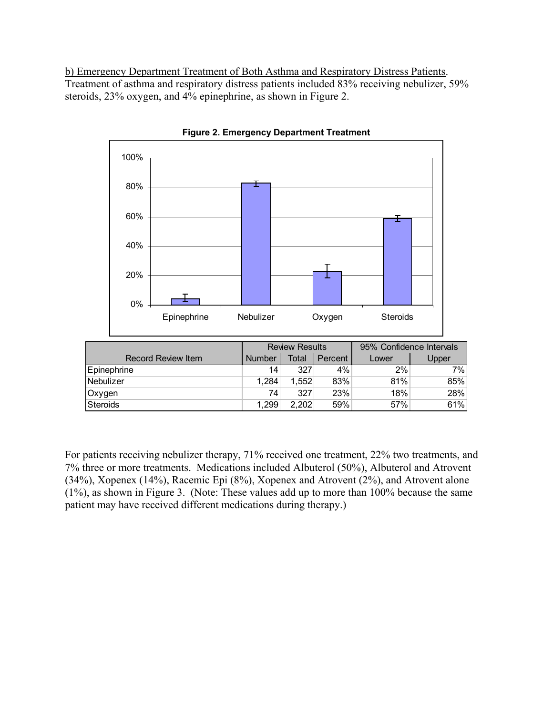b) Emergency Department Treatment of Both Asthma and Respiratory Distress Patients. Treatment of asthma and respiratory distress patients included 83% receiving nebulizer, 59% steroids, 23% oxygen, and 4% epinephrine, as shown in Figure 2.



**Figure 2. Emergency Department Treatment** 

For patients receiving nebulizer therapy, 71% received one treatment, 22% two treatments, and 7% three or more treatments. Medications included Albuterol (50%), Albuterol and Atrovent (34%), Xopenex (14%), Racemic Epi (8%), Xopenex and Atrovent (2%), and Atrovent alone (1%), as shown in Figure 3. (Note: These values add up to more than 100% because the same patient may have received different medications during therapy.)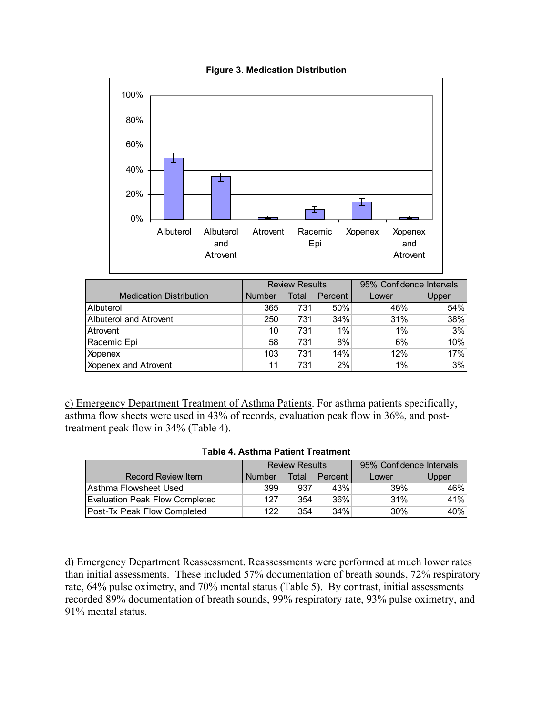

#### **Figure 3. Medication Distribution**

|                                | <b>Review Results</b> |       |         | 95% Confidence Intervals |       |
|--------------------------------|-----------------------|-------|---------|--------------------------|-------|
| <b>Medication Distribution</b> | <b>Number</b>         | Total | Percent | Lower                    | Upper |
| Albuterol                      | 365                   | 731   | 50%     | 46%                      | 54%   |
| <b>Albuterol and Atrovent</b>  | 250                   | 731   | 34%     | 31%                      | 38%   |
| Atrovent                       | 10                    | 731   | $1\%$   | 1%                       | 3%    |
| Racemic Epi                    | 58                    | 731   | 8%      | 6%                       | 10%   |
| <b>Xopenex</b>                 | 103                   | 731   | 14%     | 12%                      | 17%   |
| Xopenex and Atrovent           | 11                    | 731   | 2%      | 1%                       | 3%    |

c) Emergency Department Treatment of Asthma Patients. For asthma patients specifically, asthma flow sheets were used in 43% of records, evaluation peak flow in 36%, and posttreatment peak flow in 34% (Table 4).

#### **Table 4. Asthma Patient Treatment**

|                                | <b>Review Results</b> |       |           | 95% Confidence Intervals |       |  |
|--------------------------------|-----------------------|-------|-----------|--------------------------|-------|--|
| Record Review Item             | <b>Number</b>         | Total | l Percent | Lower                    | Upper |  |
| Asthma Flowsheet Used          | 399                   | 937   | 43%       | 39%                      | 46%   |  |
| Evaluation Peak Flow Completed | 127                   | 354   | 36%       | 31%                      | 41%   |  |
| Post-Tx Peak Flow Completed    | 122                   | 354   | $34\%$    | $30\%$                   | 40%   |  |

d) Emergency Department Reassessment. Reassessments were performed at much lower rates than initial assessments. These included 57% documentation of breath sounds, 72% respiratory rate, 64% pulse oximetry, and 70% mental status (Table 5). By contrast, initial assessments recorded 89% documentation of breath sounds, 99% respiratory rate, 93% pulse oximetry, and 91% mental status.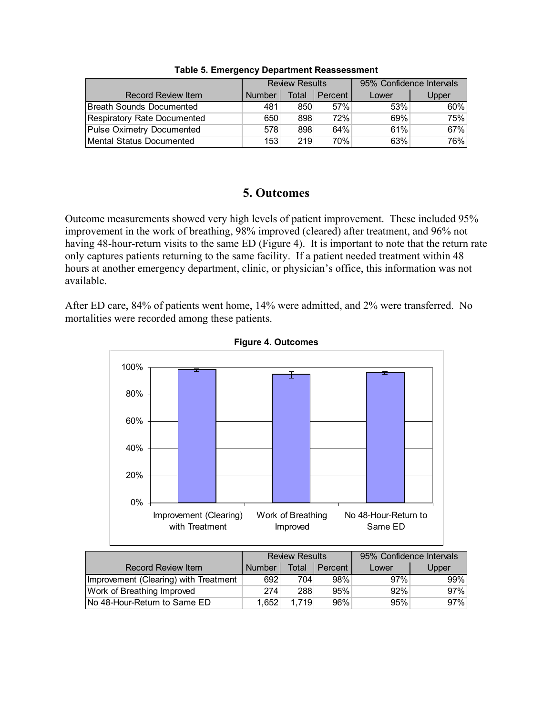|                             | <b>Review Results</b> |       |         | 95% Confidence Intervals |       |  |
|-----------------------------|-----------------------|-------|---------|--------------------------|-------|--|
| <b>Record Review Item</b>   | <b>Number</b>         | Total | Percent | Lower                    | Upper |  |
| Breath Sounds Documented    | 481                   | 850   | 57%     | 53%                      | 60%   |  |
| Respiratory Rate Documented | 650                   | 898   | 72%     | 69%                      | 75%   |  |
| Pulse Oximetry Documented   | 578                   | 898   | 64%     | 61%                      | 67%   |  |
| Mental Status Documented    | 153                   | 219   | 70%     | 63%                      | 76%   |  |

**Table 5. Emergency Department Reassessment** 

# **5. Outcomes**

Outcome measurements showed very high levels of patient improvement. These included 95% improvement in the work of breathing, 98% improved (cleared) after treatment, and 96% not having 48-hour-return visits to the same ED (Figure 4). It is important to note that the return rate only captures patients returning to the same facility. If a patient needed treatment within 48 hours at another emergency department, clinic, or physician's office, this information was not available.

After ED care, 84% of patients went home, 14% were admitted, and 2% were transferred. No mortalities were recorded among these patients.



**Figure 4. Outcomes** 

|                                       | <b>Review Results</b> |       |         | 95% Confidence Intervals |       |
|---------------------------------------|-----------------------|-------|---------|--------------------------|-------|
| <b>Record Review Item</b>             | <b>Number</b>         | Total | Percent | Lower                    | Upper |
| Improvement (Clearing) with Treatment | 692                   | 704   | 98%     | 97%                      | 99%   |
| Work of Breathing Improved            | 274                   | 288   | 95%     | $92\%$                   | 97%   |
| No 48-Hour-Return to Same ED          | 1.652                 | 1.719 | 96%     | 95%                      | 97%   |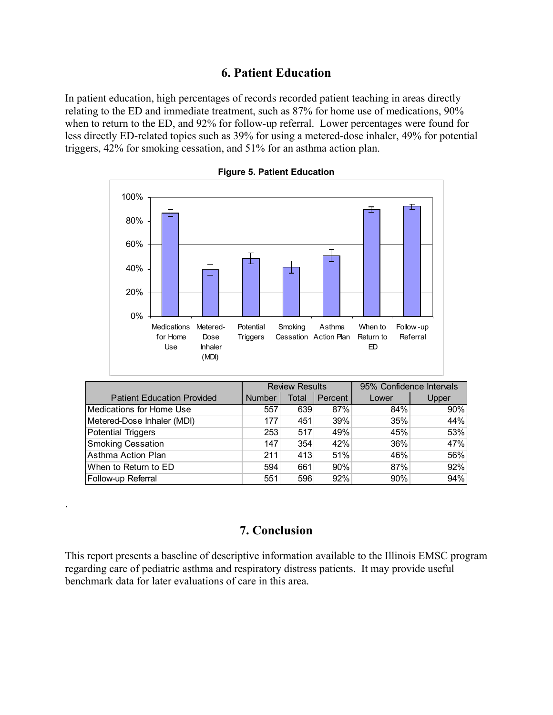## **6. Patient Education**

In patient education, high percentages of records recorded patient teaching in areas directly relating to the ED and immediate treatment, such as 87% for home use of medications, 90% when to return to the ED, and 92% for follow-up referral. Lower percentages were found for less directly ED-related topics such as 39% for using a metered-dose inhaler, 49% for potential triggers, 42% for smoking cessation, and 51% for an asthma action plan.



**Figure 5. Patient Education** 

|                                   | <b>Review Results</b> |       |         | 95% Confidence Intervals |       |  |
|-----------------------------------|-----------------------|-------|---------|--------------------------|-------|--|
| <b>Patient Education Provided</b> | <b>Number</b>         | Total | Percent | Lower                    | Upper |  |
| Medications for Home Use          | 557                   | 639   | 87%     | 84%                      | 90%   |  |
| Metered-Dose Inhaler (MDI)        | 177                   | 451   | 39%     | 35%                      | 44%   |  |
| <b>Potential Triggers</b>         | 253                   | 517   | 49%     | 45%                      | 53%   |  |
| <b>Smoking Cessation</b>          | 147                   | 354   | 42%     | 36%                      | 47%   |  |
| Asthma Action Plan                | 211                   | 413   | 51%     | 46%                      | 56%   |  |
| When to Return to ED              | 594                   | 661   | 90%     | 87%                      | 92%   |  |
| Follow-up Referral                | 551                   | 596   | 92%     | 90%                      | 94%   |  |

## **7. Conclusion**

.

This report presents a baseline of descriptive information available to the Illinois EMSC program regarding care of pediatric asthma and respiratory distress patients. It may provide useful benchmark data for later evaluations of care in this area.